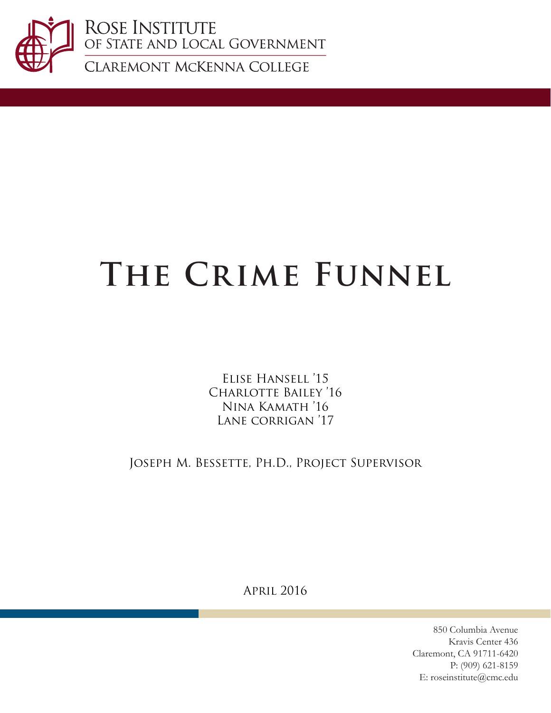

ROSE INSTITUTE<br>of state and local Government

CLAREMONT MCKENNA COLLEGE

# **The Crime Funnel**

Elise Hansell '15 Charlotte Bailey '16 Nina Kamath '16 Lane corrigan '17

Joseph M. Bessette, Ph.D., Project Supervisor

April 2016

850 Columbia Avenue Kravis Center 436 Claremont, CA 91711-6420 P: (909) 621-8159 E: roseinstitute@cmc.edu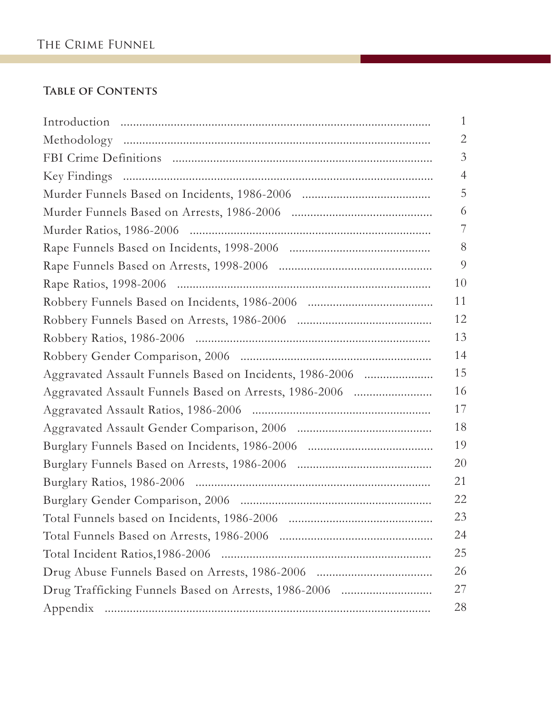### **Table of Contents**

|                                                          | $\mathbf{1}$   |
|----------------------------------------------------------|----------------|
|                                                          | $\overline{2}$ |
|                                                          | 3              |
|                                                          | $\overline{4}$ |
|                                                          | 5              |
|                                                          | 6              |
|                                                          |                |
|                                                          | 8              |
|                                                          | 9              |
|                                                          | 10             |
|                                                          | 11             |
|                                                          | 12             |
|                                                          | 13             |
|                                                          | 14             |
| Aggravated Assault Funnels Based on Incidents, 1986-2006 | 15             |
| Aggravated Assault Funnels Based on Arrests, 1986-2006   | 16             |
|                                                          | 17             |
|                                                          | 18             |
|                                                          | 19             |
|                                                          | 20             |
|                                                          | 21             |
|                                                          | 22             |
|                                                          | 23             |
|                                                          | 24             |
|                                                          | 25             |
|                                                          | 26             |
|                                                          | 27             |
|                                                          | 28             |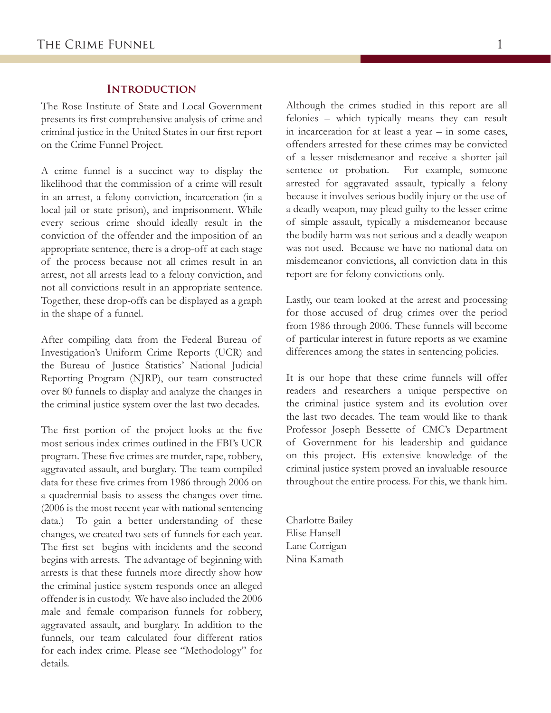### **Introduction**

The Rose Institute of State and Local Government presents its first comprehensive analysis of crime and criminal justice in the United States in our first report on the Crime Funnel Project.

A crime funnel is a succinct way to display the likelihood that the commission of a crime will result in an arrest, a felony conviction, incarceration (in a local jail or state prison), and imprisonment. While every serious crime should ideally result in the conviction of the offender and the imposition of an appropriate sentence, there is a drop-off at each stage of the process because not all crimes result in an arrest, not all arrests lead to a felony conviction, and not all convictions result in an appropriate sentence. Together, these drop-offs can be displayed as a graph in the shape of a funnel.

After compiling data from the Federal Bureau of Investigation's Uniform Crime Reports (UCR) and the Bureau of Justice Statistics' National Judicial Reporting Program (NJRP), our team constructed over 80 funnels to display and analyze the changes in the criminal justice system over the last two decades.

The first portion of the project looks at the five most serious index crimes outlined in the FBI's UCR program. These five crimes are murder, rape, robbery, aggravated assault, and burglary. The team compiled data for these five crimes from 1986 through 2006 on a quadrennial basis to assess the changes over time. (2006 is the most recent year with national sentencing data.) To gain a better understanding of these changes, we created two sets of funnels for each year. The first set begins with incidents and the second begins with arrests. The advantage of beginning with arrests is that these funnels more directly show how the criminal justice system responds once an alleged offender is in custody. We have also included the 2006 male and female comparison funnels for robbery, aggravated assault, and burglary. In addition to the funnels, our team calculated four different ratios for each index crime. Please see "Methodology" for details.

Although the crimes studied in this report are all felonies – which typically means they can result in incarceration for at least a year – in some cases, offenders arrested for these crimes may be convicted of a lesser misdemeanor and receive a shorter jail sentence or probation. For example, someone arrested for aggravated assault, typically a felony because it involves serious bodily injury or the use of a deadly weapon, may plead guilty to the lesser crime of simple assault, typically a misdemeanor because the bodily harm was not serious and a deadly weapon was not used. Because we have no national data on misdemeanor convictions, all conviction data in this report are for felony convictions only.

Lastly, our team looked at the arrest and processing for those accused of drug crimes over the period from 1986 through 2006. These funnels will become of particular interest in future reports as we examine differences among the states in sentencing policies.

It is our hope that these crime funnels will offer readers and researchers a unique perspective on the criminal justice system and its evolution over the last two decades. The team would like to thank Professor Joseph Bessette of CMC's Department of Government for his leadership and guidance on this project. His extensive knowledge of the criminal justice system proved an invaluable resource throughout the entire process. For this, we thank him.

Charlotte Bailey Elise Hansell Lane Corrigan Nina Kamath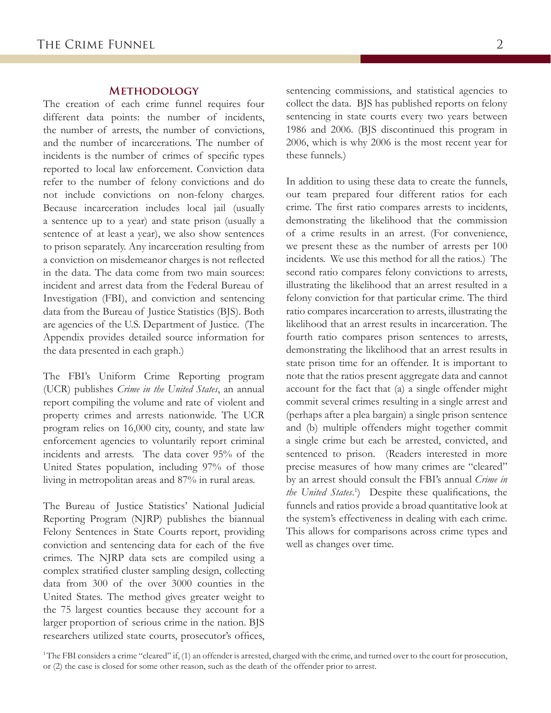The creation of each crime funnel requires four different data points: the number of incidents, the number of arrests, the number of convictions, and the number of incarcerations. The number of incidents is the number of crimes of specific types reported to local law enforcement. Conviction data refer to the number of felony convictions and do not include convictions on non-felony charges. Because incarceration includes local jail (usually a sentence up to a year) and state prison (usually a sentence of at least a year), we also show sentences to prison separately. Any incarceration resulting from a conviction on misdemeanor charges is not reflected in the data. The data come from two main sources: incident and arrest data from the Federal Bureau of Investigation (FBI), and conviction and sentencing data from the Bureau of Justice Statistics (BJS). Both are agencies of the U.S. Department of Justice. (The Appendix provides detailed source information for the data presented in each graph.)

The FBI's Uniform Crime Reporting program (UCR) publishes *Crime in the United States*, an annual report compiling the volume and rate of violent and property crimes and arrests nationwide. The UCR program relies on 16,000 city, county, and state law enforcement agencies to voluntarily report criminal incidents and arrests. The data cover 95% of the United States population, including 97% of those living in metropolitan areas and 87% in rural areas.

The Bureau of Justice Statistics' National Judicial Reporting Program (NJRP) publishes the biannual Felony Sentences in State Courts report, providing conviction and sentencing data for each of the five crimes. The NJRP data sets are compiled using a complex stratified cluster sampling design, collecting data from 300 of the over 3000 counties in the United States. The method gives greater weight to the 75 largest counties because they account for a larger proportion of serious crime in the nation. BJS researchers utilized state courts, prosecutor's offices,

**METHODOLOGY** sentencing commissions, and statistical agencies to collect the data. BJS has published reports on felony sentencing in state courts every two years between 1986 and 2006. (BJS discontinued this program in 2006, which is why 2006 is the most recent year for these funnels.)

> In addition to using these data to create the funnels, our team prepared four different ratios for each crime. The first ratio compares arrests to incidents, demonstrating the likelihood that the commission of a crime results in an arrest. (For convenience, we present these as the number of arrests per 100 incidents. We use this method for all the ratios.) The second ratio compares felony convictions to arrests, illustrating the likelihood that an arrest resulted in a felony conviction for that particular crime. The third ratio compares incarceration to arrests, illustrating the likelihood that an arrest results in incarceration. The fourth ratio compares prison sentences to arrests, demonstrating the likelihood that an arrest results in state prison time for an offender. It is important to note that the ratios present aggregate data and cannot account for the fact that (a) a single offender might commit several crimes resulting in a single arrest and (perhaps after a plea bargain) a single prison sentence and (b) multiple offenders might together commit a single crime but each be arrested, convicted, and sentenced to prison. (Readers interested in more precise measures of how many crimes are "cleared" by an arrest should consult the FBI's annual *Crime in the United States*. 1 ) Despite these qualifications, the funnels and ratios provide a broad quantitative look at the system's effectiveness in dealing with each crime. This allows for comparisons across crime types and well as changes over time.

<sup>1</sup>The FBI considers a crime "cleared" if, (1) an offender is arrested, charged with the crime, and turned over to the court for prosecution, or (2) the case is closed for some other reason, such as the death of the offender prior to arrest.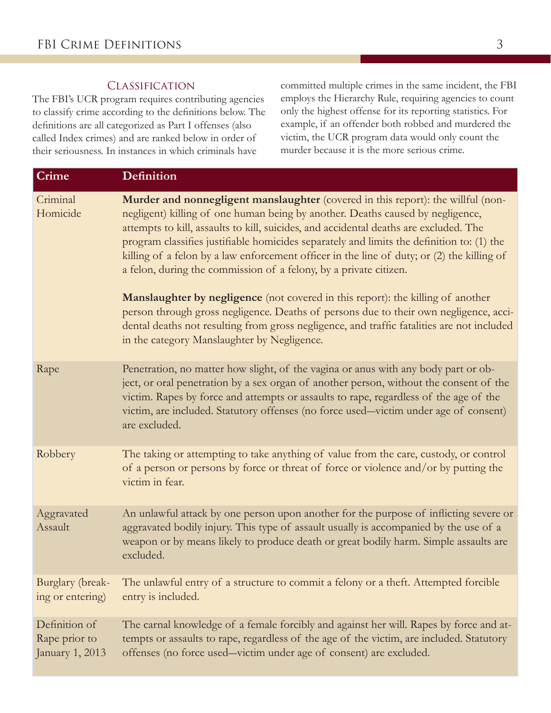### **CLASSIFICATION**

The FBI's UCR program requires contributing agencies to classify crime according to the definitions below. The definitions are all categorized as Part I offenses (also called Index crimes) and are ranked below in order of their seriousness. In instances in which criminals have

committed multiple crimes in the same incident, the FBI employs the Hierarchy Rule, requiring agencies to count only the highest offense for its reporting statistics. For example, if an offender both robbed and murdered the victim, the UCR program data would only count the murder because it is the more serious crime.

| <b>Crime</b>                                      | <b>Definition</b>                                                                                                                                                                                                                                                                                                                                                                                                                                                                                                                                                                                                                                                                                                                                                                                                                                    |
|---------------------------------------------------|------------------------------------------------------------------------------------------------------------------------------------------------------------------------------------------------------------------------------------------------------------------------------------------------------------------------------------------------------------------------------------------------------------------------------------------------------------------------------------------------------------------------------------------------------------------------------------------------------------------------------------------------------------------------------------------------------------------------------------------------------------------------------------------------------------------------------------------------------|
| Criminal<br>Homicide                              | Murder and nonnegligent manslaughter (covered in this report): the willful (non-<br>negligent) killing of one human being by another. Deaths caused by negligence,<br>attempts to kill, assaults to kill, suicides, and accidental deaths are excluded. The<br>program classifies justifiable homicides separately and limits the definition to: (1) the<br>killing of a felon by a law enforcement officer in the line of duty; or (2) the killing of<br>a felon, during the commission of a felony, by a private citizen.<br>Manslaughter by negligence (not covered in this report): the killing of another<br>person through gross negligence. Deaths of persons due to their own negligence, acci-<br>dental deaths not resulting from gross negligence, and traffic fatalities are not included<br>in the category Manslaughter by Negligence. |
|                                                   |                                                                                                                                                                                                                                                                                                                                                                                                                                                                                                                                                                                                                                                                                                                                                                                                                                                      |
| Rape                                              | Penetration, no matter how slight, of the vagina or anus with any body part or ob-<br>ject, or oral penetration by a sex organ of another person, without the consent of the<br>victim. Rapes by force and attempts or assaults to rape, regardless of the age of the<br>victim, are included. Statutory offenses (no force used—victim under age of consent)<br>are excluded.                                                                                                                                                                                                                                                                                                                                                                                                                                                                       |
| Robbery                                           | The taking or attempting to take anything of value from the care, custody, or control<br>of a person or persons by force or threat of force or violence and/or by putting the<br>victim in fear.                                                                                                                                                                                                                                                                                                                                                                                                                                                                                                                                                                                                                                                     |
| Aggravated<br>Assault                             | An unlawful attack by one person upon another for the purpose of inflicting severe or<br>aggravated bodily injury. This type of assault usually is accompanied by the use of a<br>weapon or by means likely to produce death or great bodily harm. Simple assaults are<br>excluded.                                                                                                                                                                                                                                                                                                                                                                                                                                                                                                                                                                  |
| Burglary (break-<br>ing or entering)              | The unlawful entry of a structure to commit a felony or a theft. Attempted forcible<br>entry is included.                                                                                                                                                                                                                                                                                                                                                                                                                                                                                                                                                                                                                                                                                                                                            |
| Definition of<br>Rape prior to<br>January 1, 2013 | The carnal knowledge of a female forcibly and against her will. Rapes by force and at-<br>tempts or assaults to rape, regardless of the age of the victim, are included. Statutory<br>offenses (no force used—victim under age of consent) are excluded.                                                                                                                                                                                                                                                                                                                                                                                                                                                                                                                                                                                             |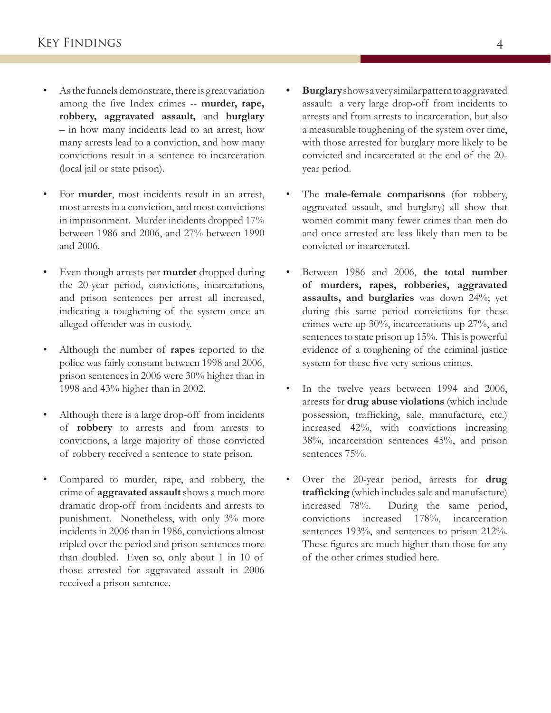- As the funnels demonstrate, there is great variation among the five Index crimes -- **murder, rape, robbery, aggravated assault,** and **burglary** – in how many incidents lead to an arrest, how many arrests lead to a conviction, and how many convictions result in a sentence to incarceration (local jail or state prison).
- For **murder**, most incidents result in an arrest, most arrests in a conviction, and most convictions in imprisonment. Murder incidents dropped 17% between 1986 and 2006, and 27% between 1990 and 2006.
- Even though arrests per **murder** dropped during the 20-year period, convictions, incarcerations, and prison sentences per arrest all increased, indicating a toughening of the system once an alleged offender was in custody.
- Although the number of **rapes** reported to the police was fairly constant between 1998 and 2006, prison sentences in 2006 were 30% higher than in 1998 and 43% higher than in 2002.
- Although there is a large drop-off from incidents of **robbery** to arrests and from arrests to convictions, a large majority of those convicted of robbery received a sentence to state prison.
- Compared to murder, rape, and robbery, the crime of **aggravated assault** shows a much more dramatic drop-off from incidents and arrests to punishment. Nonetheless, with only 3% more incidents in 2006 than in 1986, convictions almost tripled over the period and prison sentences more than doubled. Even so, only about 1 in 10 of those arrested for aggravated assault in 2006 received a prison sentence.
- **• Burglary** shows a very similar pattern to aggravated assault: a very large drop-off from incidents to arrests and from arrests to incarceration, but also a measurable toughening of the system over time, with those arrested for burglary more likely to be convicted and incarcerated at the end of the 20 year period.
- The **male-female comparisons** (for robbery, aggravated assault, and burglary) all show that women commit many fewer crimes than men do and once arrested are less likely than men to be convicted or incarcerated.
- Between 1986 and 2006, **the total number of murders, rapes, robberies, aggravated assaults, and burglaries** was down 24%; yet during this same period convictions for these crimes were up 30%, incarcerations up 27%, and sentences to state prison up 15%. This is powerful evidence of a toughening of the criminal justice system for these five very serious crimes.
- In the twelve years between 1994 and 2006, arrests for **drug abuse violations** (which include possession, trafficking, sale, manufacture, etc.) increased 42%, with convictions increasing 38%, incarceration sentences 45%, and prison sentences 75%.
- Over the 20-year period, arrests for **drug trafficking** (which includes sale and manufacture) increased 78%. During the same period, convictions increased 178%, incarceration sentences 193%, and sentences to prison 212%. These figures are much higher than those for any of the other crimes studied here.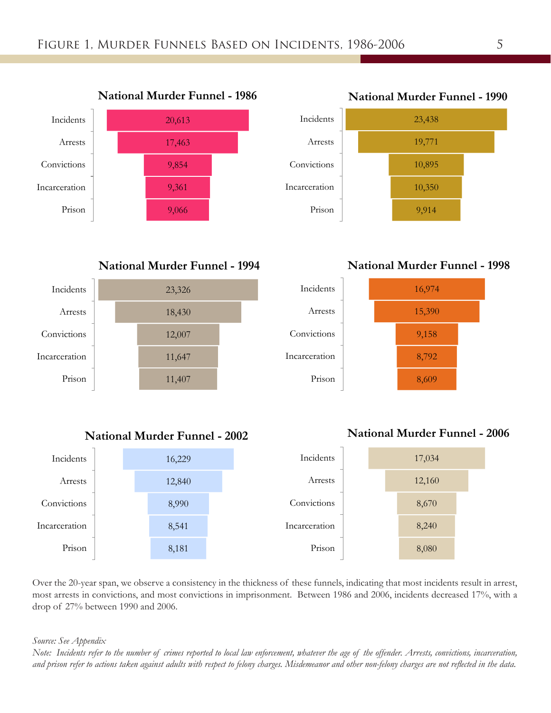

**National Murder Funnel - 1994**



**National Murder Funnel - 2002**



**National Murder Funnel - 1998**







Over the 20-year span, we observe a consistency in the thickness of these funnels, indicating that most incidents result in arrest, most arrests in convictions, and most convictions in imprisonment. Between 1986 and 2006, incidents decreased 17%, with a drop of 27% between 1990 and 2006.

*Source: See Appendix*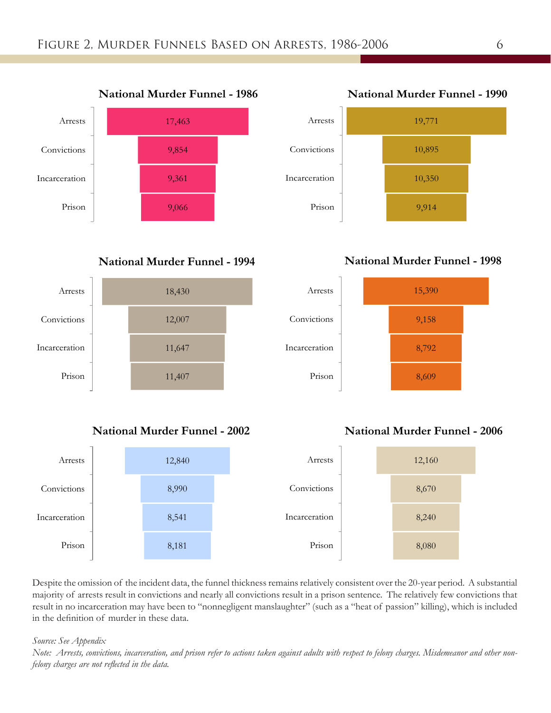

### **National Murder Funnel - 1994**



### **National Murder Funnel - 2002**



Despite the omission of the incident data, the funnel thickness remains relatively consistent over the 20-year period. A substantial majority of arrests result in convictions and nearly all convictions result in a prison sentence. The relatively few convictions that result in no incarceration may have been to "nonnegligent manslaughter" (such as a "heat of passion" killing), which is included in the definition of murder in these data.

#### *Source: See Appendix*

*Note: Arrests, convictions, incarceration, and prison refer to actions taken against adults with respect to felony charges. Misdemeanor and other nonfelony charges are not reflected in the data.* 



### **National Murder Funnel - 1998**



### **National Murder Funnel - 2006**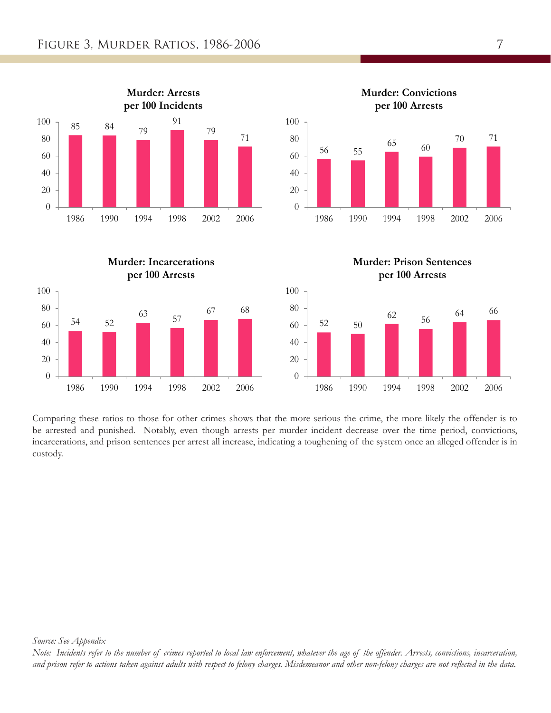









Comparing these ratios to those for other crimes shows that the more serious the crime, the more likely the offender is to be arrested and punished. Notably, even though arrests per murder incident decrease over the time period, convictions, incarcerations, and prison sentences per arrest all increase, indicating a toughening of the system once an alleged offender is in custody.

*Source: See Appendix*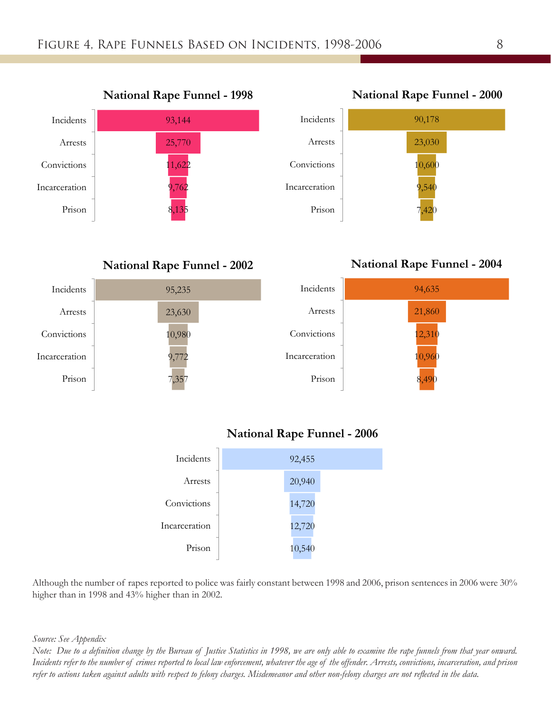



**National Rape Funnel - 2002**

**National Rape Funnel - 2004**



### **National Rape Funnel - 2006**



Although the number of rapes reported to police was fairly constant between 1998 and 2006, prison sentences in 2006 were 30% higher than in 1998 and 43% higher than in 2002.

*Source: See Appendix*

*Note: Due to a definition change by the Bureau of Justice Statistics in 1998, we are only able to examine the rape funnels from that year onward. Incidents refer to the number of crimes reported to local law enforcement, whatever the age of the offender. Arrests, convictions, incarceration, and prison refer to actions taken against adults with respect to felony charges. Misdemeanor and other non-felony charges are not reflected in the data.*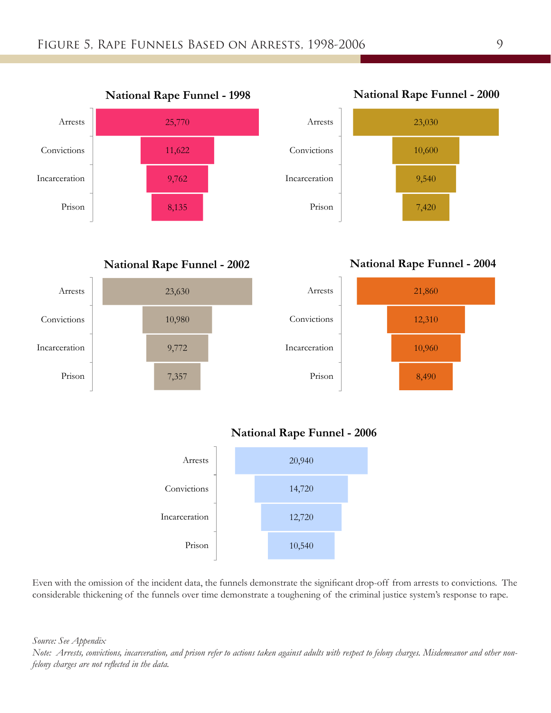

**National Rape Funnel - 2002**



**National Rape Funnel - 2004**



### **National Rape Funnel - 2006**



Even with the omission of the incident data, the funnels demonstrate the significant drop-off from arrests to convictions. The considerable thickening of the funnels over time demonstrate a toughening of the criminal justice system's response to rape.

*Source: See Appendix*

*Note: Arrests, convictions, incarceration, and prison refer to actions taken against adults with respect to felony charges. Misdemeanor and other nonfelony charges are not reflected in the data.*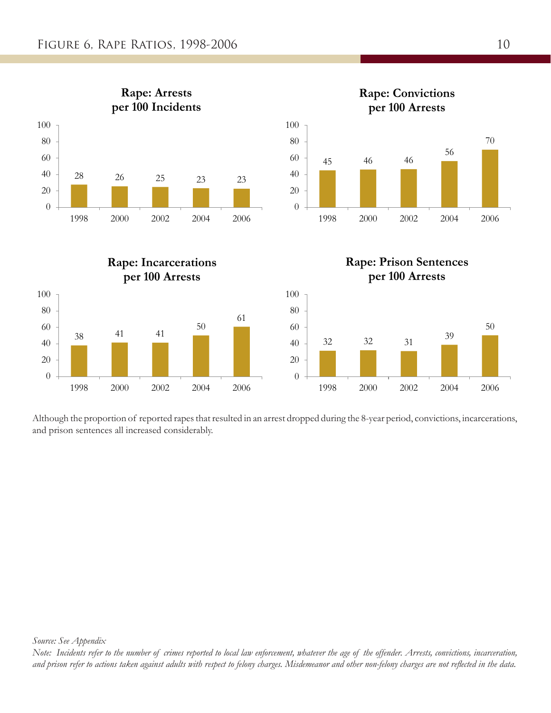

Although the proportion of reported rapes that resulted in an arrest dropped during the 8-year period, convictions, incarcerations, and prison sentences all increased considerably.

*Note: Incidents refer to the number of crimes reported to local law enforcement, whatever the age of the offender. Arrests, convictions, incarceration, and prison refer to actions taken against adults with respect to felony charges. Misdemeanor and other non-felony charges are not reflected in the data.*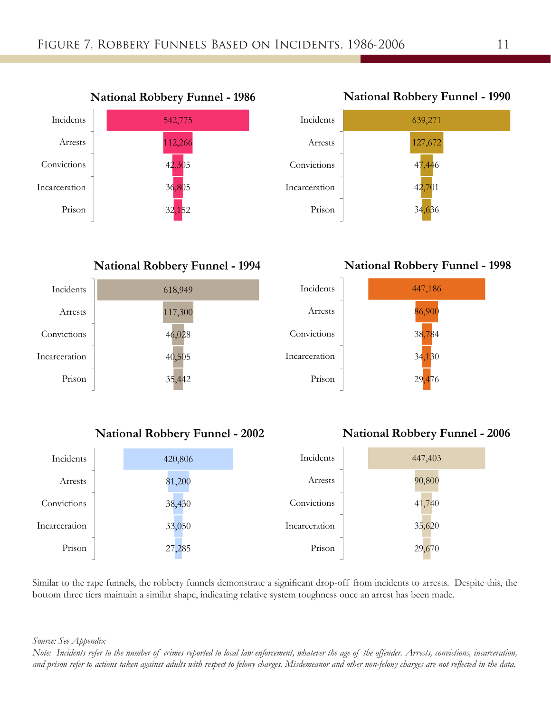

**National Robbery Funnel - 1990**



**National Robbery Funnel - 1998**



### **National Robbery Funnel - 2002**

### **National Robbery Funnel - 2006**

| Incidents     | 420,806 | Incidents     | 447,403 |
|---------------|---------|---------------|---------|
| Arrests       | 81,200  | Arrests       | 90,800  |
| Convictions   | 38,430  | Convictions   | 41,740  |
| Incarceration | 33,050  | Incarceration | 35,620  |
| Prison        | 27,285  | Prison        | 29,670  |

Similar to the rape funnels, the robbery funnels demonstrate a significant drop-off from incidents to arrests. Despite this, the bottom three tiers maintain a similar shape, indicating relative system toughness once an arrest has been made.

*Source: See Appendix*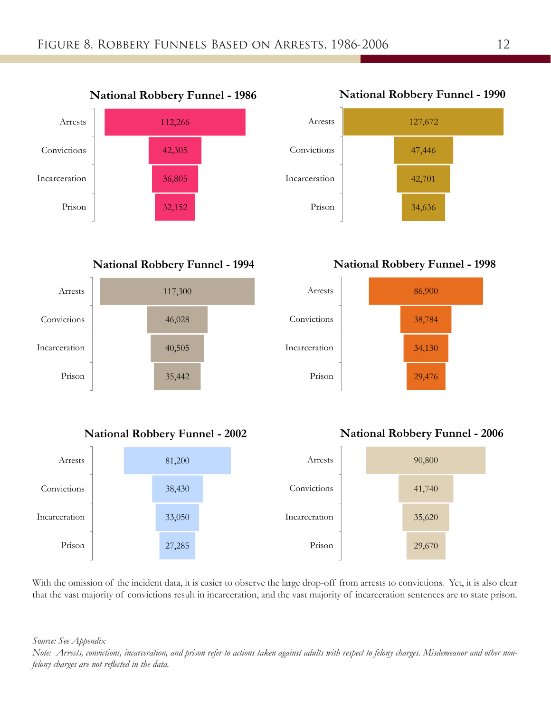

**National Robbery Funnel - 1994**





**National Robbery Funnel - 1998**









With the omission of the incident data, it is easier to observe the large drop-off from arrests to convictions. Yet, it is also clear that the vast majority of convictions result in incarceration, and the vast majority of incarceration sentences are to state prison.

*Source: See Appendix*

*Note: Arrests, convictions, incarceration, and prison refer to actions taken against adults with respect to felony charges. Misdemeanor and other nonfelony charges are not reflected in the data.*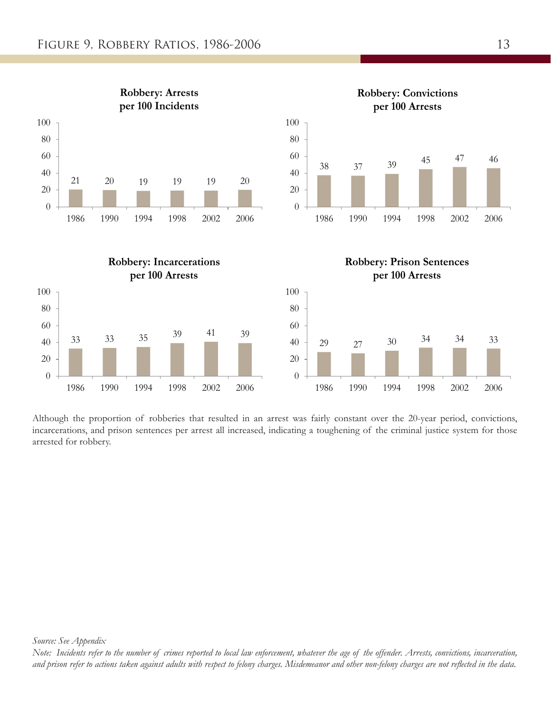

Although the proportion of robberies that resulted in an arrest was fairly constant over the 20-year period, convictions, incarcerations, and prison sentences per arrest all increased, indicating a toughening of the criminal justice system for those arrested for robbery.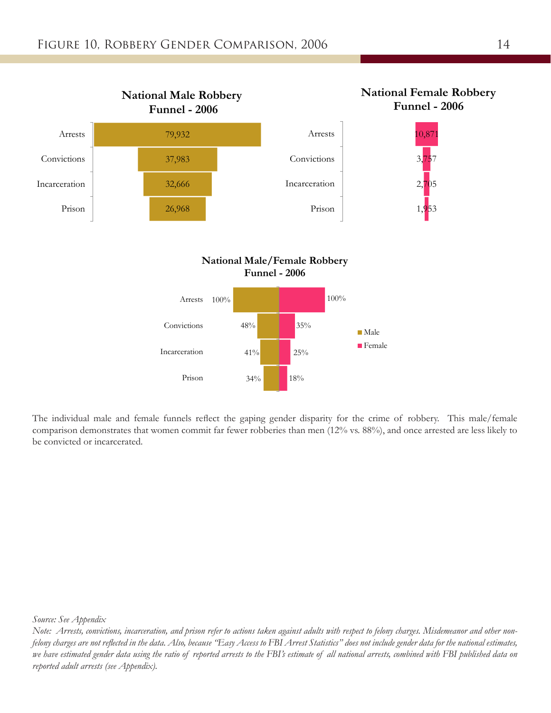

The individual male and female funnels reflect the gaping gender disparity for the crime of robbery. This male/female comparison demonstrates that women commit far fewer robberies than men (12% vs. 88%), and once arrested are less likely to be convicted or incarcerated.

*Source: See Appendix*

*Note: Arrests, convictions, incarceration, and prison refer to actions taken against adults with respect to felony charges. Misdemeanor and other nonfelony charges are not reflected in the data. Also, because "Easy Access to FBI Arrest Statistics" does not include gender data for the national estimates, we have estimated gender data using the ratio of reported arrests to the FBI's estimate of all national arrests, combined with FBI published data on reported adult arrests (see Appendix).*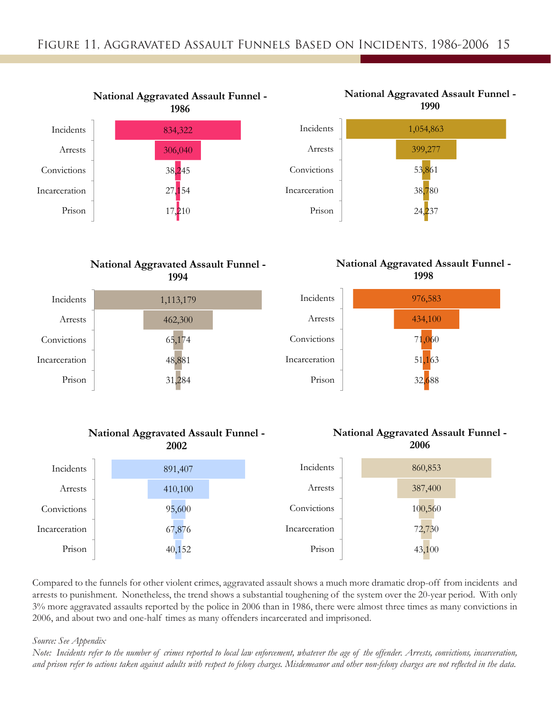



### **National Aggravated Assault Funnel - 1998**



#### 1,113,179 462,300 65,174 48,881 31,284 Incidents Arrests Convictions Incarceration Prison **1994**

**National Aggravated Assault Funnel -**

### **National Aggravated Assault Funnel - 2002**





Compared to the funnels for other violent crimes, aggravated assault shows a much more dramatic drop-off from incidents and arrests to punishment. Nonetheless, the trend shows a substantial toughening of the system over the 20-year period. With only 3% more aggravated assaults reported by the police in 2006 than in 1986, there were almost three times as many convictions in 2006, and about two and one-half times as many offenders incarcerated and imprisoned.

#### *Source: See Appendix*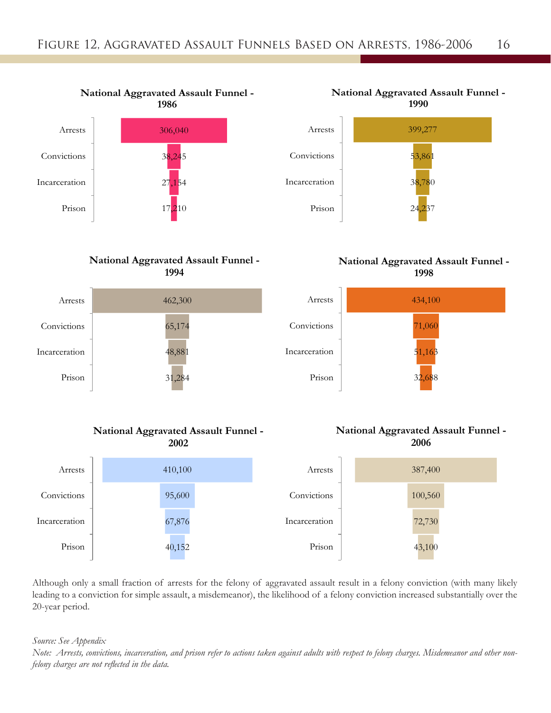

### **National Aggravated Assault Funnel - 1994**





### **National Aggravated Assault Funnel - 1998**



### **National Aggravated Assault Funnel - 2002**





Although only a small fraction of arrests for the felony of aggravated assault result in a felony conviction (with many likely leading to a conviction for simple assault, a misdemeanor), the likelihood of a felony conviction increased substantially over the 20-year period.

*Source: See Appendix*

*Note: Arrests, convictions, incarceration, and prison refer to actions taken against adults with respect to felony charges. Misdemeanor and other nonfelony charges are not reflected in the data.*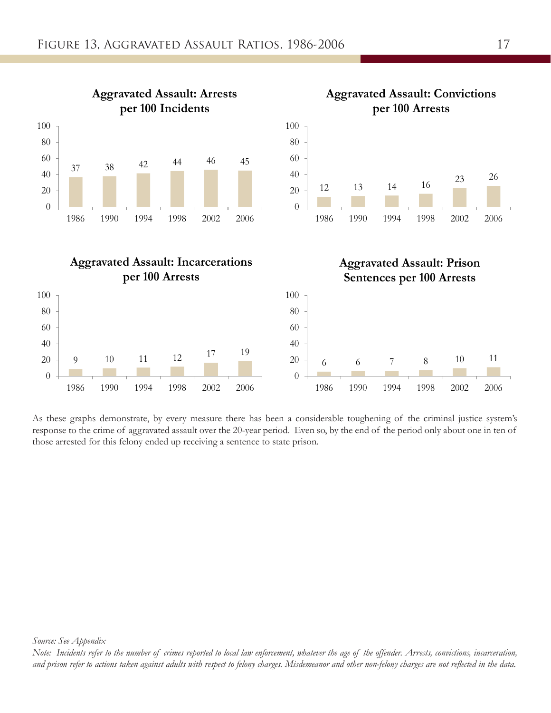

As these graphs demonstrate, by every measure there has been a considerable toughening of the criminal justice system's response to the crime of aggravated assault over the 20-year period. Even so, by the end of the period only about one in ten of those arrested for this felony ended up receiving a sentence to state prison.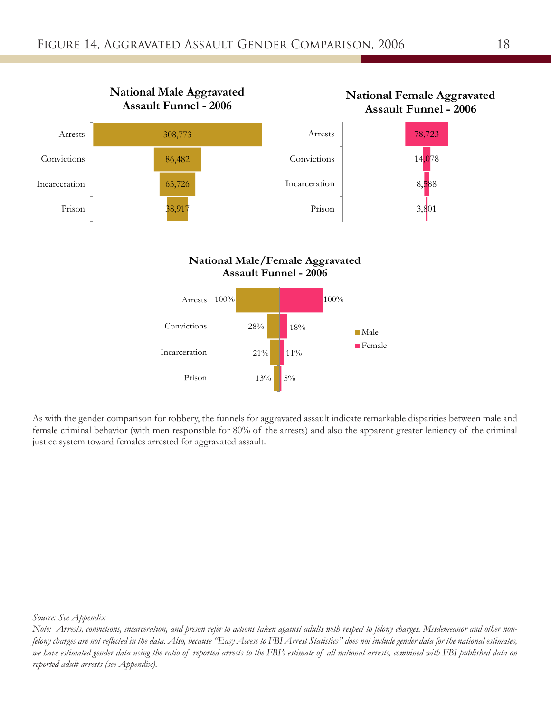

As with the gender comparison for robbery, the funnels for aggravated assault indicate remarkable disparities between male and female criminal behavior (with men responsible for 80% of the arrests) and also the apparent greater leniency of the criminal justice system toward females arrested for aggravated assault.

*Source: See Appendix*

*Note: Arrests, convictions, incarceration, and prison refer to actions taken against adults with respect to felony charges. Misdemeanor and other nonfelony charges are not reflected in the data. Also, because "Easy Access to FBI Arrest Statistics" does not include gender data for the national estimates, we have estimated gender data using the ratio of reported arrests to the FBI's estimate of all national arrests, combined with FBI published data on reported adult arrests (see Appendix).*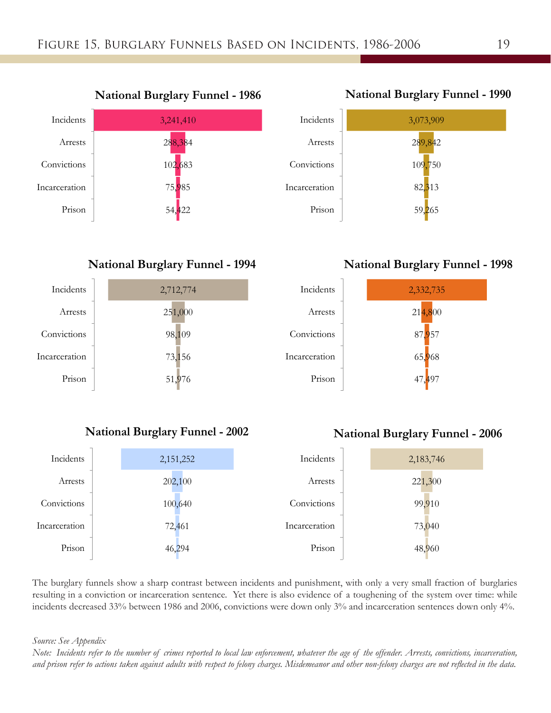

### **National Burglary Funnel - 1994**



### **National Burglary Funnel - 2002**



47,497

| Incidents     | 2,151,252 | Incidents     | 2,183,746 |
|---------------|-----------|---------------|-----------|
| Arrests       | 202,100   | Arrests       | 221,300   |
| Convictions   | 100,640   | Convictions   | 99,910    |
| Incarceration | 72,461    | Incarceration | 73,040    |
| Prison        | 46,294    | Prison        | 48,960    |

The burglary funnels show a sharp contrast between incidents and punishment, with only a very small fraction of burglaries resulting in a conviction or incarceration sentence. Yet there is also evidence of a toughening of the system over time: while incidents decreased 33% between 1986 and 2006, convictions were down only 3% and incarceration sentences down only 4%.

*Source: See Appendix*

*Note: Incidents refer to the number of crimes reported to local law enforcement, whatever the age of the offender. Arrests, convictions, incarceration, and prison refer to actions taken against adults with respect to felony charges. Misdemeanor and other non-felony charges are not reflected in the data.* 

### **National Burglary Funnel - 1990**



**National Burglary Funnel - 1998**



Prison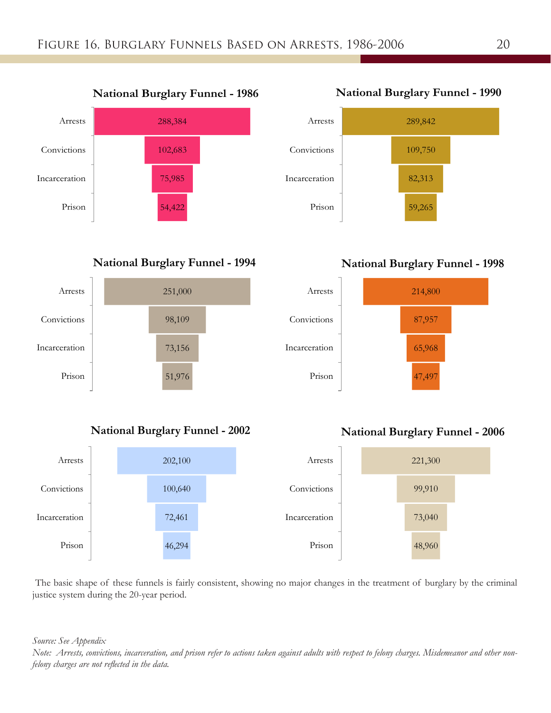

**National Burglary Funnel - 1994**



### **National Burglary Funnel - 2002**





### **National Burglary Funnel - 1998**



### **National Burglary Funnel - 2006**



 The basic shape of these funnels is fairly consistent, showing no major changes in the treatment of burglary by the criminal justice system during the 20-year period.

*Source: See Appendix*

*Note: Arrests, convictions, incarceration, and prison refer to actions taken against adults with respect to felony charges. Misdemeanor and other nonfelony charges are not reflected in the data.*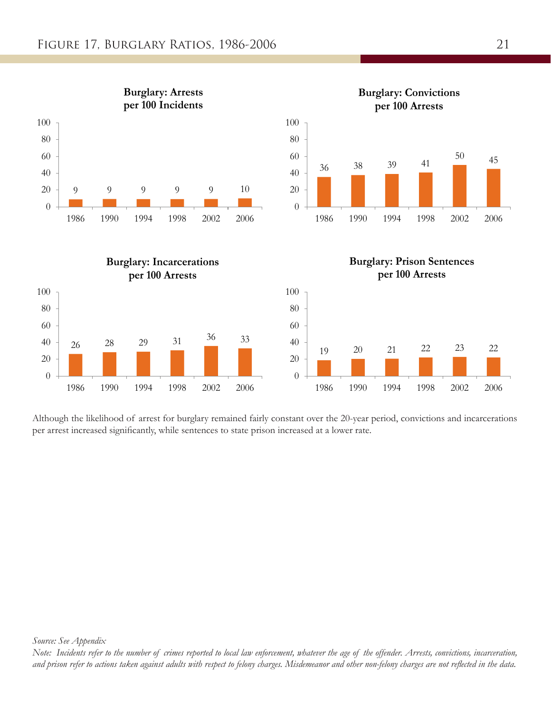

Although the likelihood of arrest for burglary remained fairly constant over the 20-year period, convictions and incarcerations per arrest increased significantly, while sentences to state prison increased at a lower rate.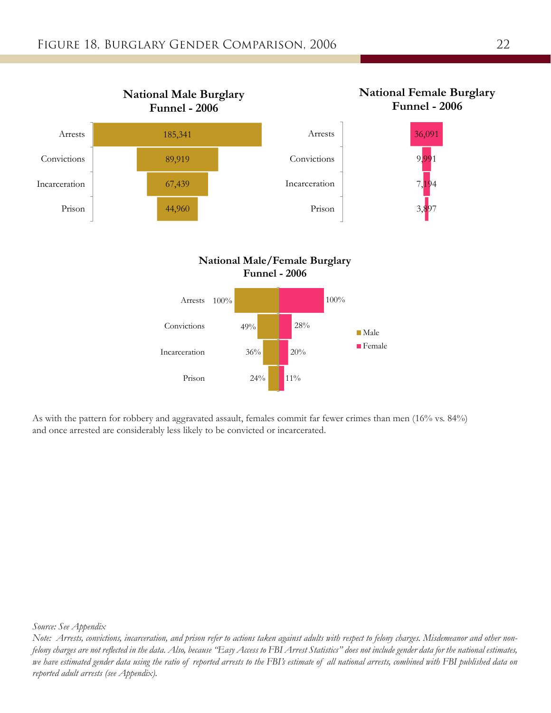

As with the pattern for robbery and aggravated assault, females commit far fewer crimes than men (16% vs. 84%) and once arrested are considerably less likely to be convicted or incarcerated.

*Source: See Appendix*

*Note: Arrests, convictions, incarceration, and prison refer to actions taken against adults with respect to felony charges. Misdemeanor and other nonfelony charges are not reflected in the data. Also, because "Easy Access to FBI Arrest Statistics" does not include gender data for the national estimates, we have estimated gender data using the ratio of reported arrests to the FBI's estimate of all national arrests, combined with FBI published data on reported adult arrests (see Appendix).*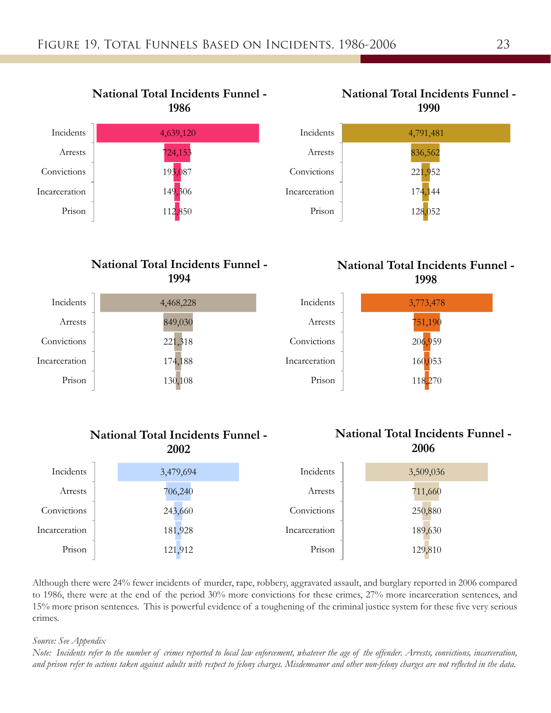



### **National Total Incidents Funnel - 1998**



#### 4,468,228 849,030 221,318 174,188 130,108 Incidents Arrests Convictions Incarceration Prison **1994**

### **National Total Incidents Funnel - 2002**

**National Total Incidents Funnel -**

## **National Total Incidents Funnel - 2006**

| Incidents     | 3,479,694 | Incidents     | 3,509,036 |
|---------------|-----------|---------------|-----------|
| Arrests       | 706,240   | Arrests       | 711,660   |
| Convictions   | 243,660   | Convictions   | 250,880   |
| Incarceration | 181,928   | Incarceration | 189,630   |
| Prison        | 121,912   | Prison        | 129,810   |

Although there were 24% fewer incidents of murder, rape, robbery, aggravated assault, and burglary reported in 2006 compared to 1986, there were at the end of the period 30% more convictions for these crimes, 27% more incarceration sentences, and 15% more prison sentences. This is powerful evidence of a toughening of the criminal justice system for these five very serious crimes.

### *Source: See Appendix*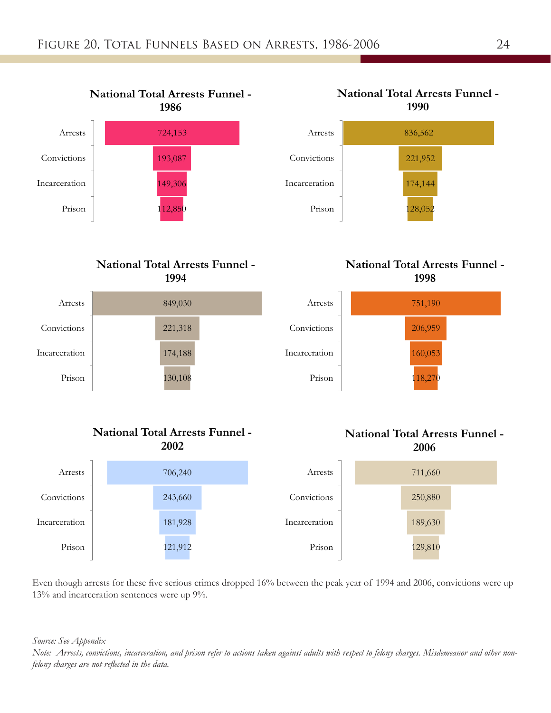

### **National Total Arrests Funnel - 1994**



### **National Total Arrests Funnel - 2002**





**National Total Arrests Funnel -**

### **National Total Arrests Funnel - 1998**



### **National Total Arrests Funnel - 2006**



Even though arrests for these five serious crimes dropped 16% between the peak year of 1994 and 2006, convictions were up 13% and incarceration sentences were up 9%.

*Source: See Appendix*

*Note: Arrests, convictions, incarceration, and prison refer to actions taken against adults with respect to felony charges. Misdemeanor and other nonfelony charges are not reflected in the data.*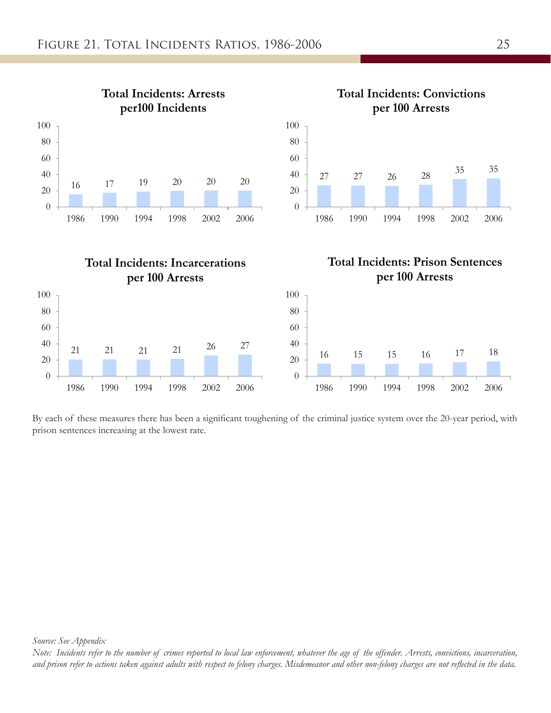

By each of these measures there has been a significant toughening of the criminal justice system over the 20-year period, with prison sentences increasing at the lowest rate.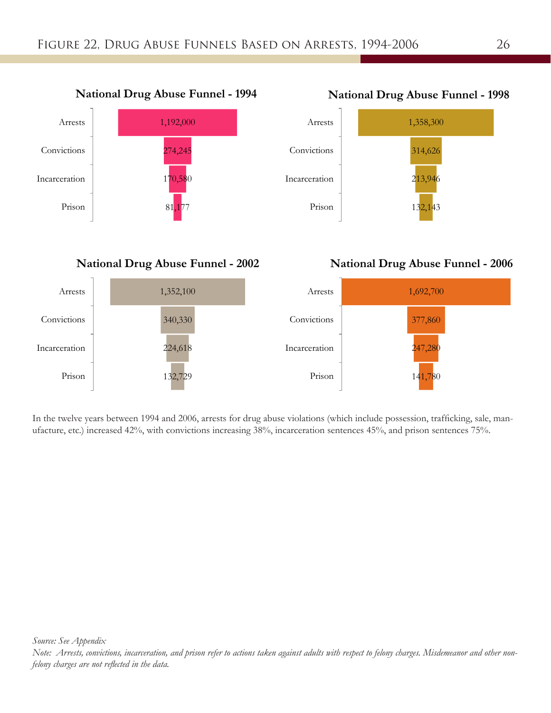

**National Drug Abuse Funnel - 2002**

## **National Drug Abuse Funnel - 1998**



### **National Drug Abuse Funnel - 2006**



In the twelve years between 1994 and 2006, arrests for drug abuse violations (which include possession, trafficking, sale, manufacture, etc.) increased 42%, with convictions increasing 38%, incarceration sentences 45%, and prison sentences 75%.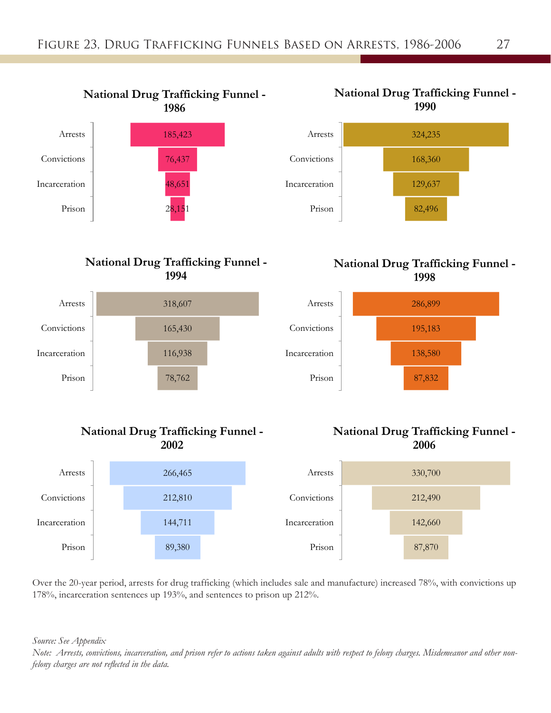

### **National Drug Trafficking Funnel - 1994**



### **National Drug Trafficking Funnel - 2002**





### **National Drug Trafficking Funnel - 1998**



### **National Drug Trafficking Funnel - 2006**



Over the 20-year period, arrests for drug trafficking (which includes sale and manufacture) increased 78%, with convictions up 178%, incarceration sentences up 193%, and sentences to prison up 212%.

*Source: See Appendix*

*Note: Arrests, convictions, incarceration, and prison refer to actions taken against adults with respect to felony charges. Misdemeanor and other nonfelony charges are not reflected in the data.*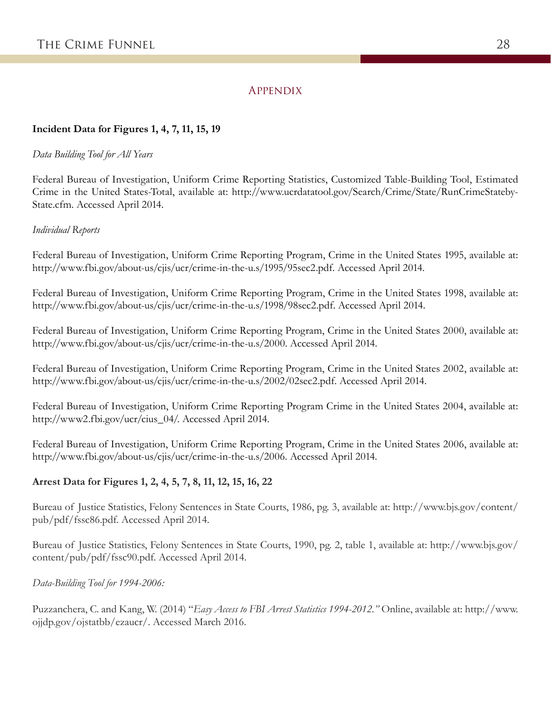### **APPENDIX**

### **Incident Data for Figures 1, 4, 7, 11, 15, 19**

### *Data Building Tool for All Years*

Federal Bureau of Investigation, Uniform Crime Reporting Statistics, Customized Table-Building Tool, Estimated Crime in the United States-Total, available at: http://www.ucrdatatool.gov/Search/Crime/State/RunCrimeStateby-State.cfm. Accessed April 2014.

### *Individual Reports*

Federal Bureau of Investigation, Uniform Crime Reporting Program, Crime in the United States 1995, available at: http://www.fbi.gov/about-us/cjis/ucr/crime-in-the-u.s/1995/95sec2.pdf. Accessed April 2014.

Federal Bureau of Investigation, Uniform Crime Reporting Program, Crime in the United States 1998, available at: http://www.fbi.gov/about-us/cjis/ucr/crime-in-the-u.s/1998/98sec2.pdf. Accessed April 2014.

Federal Bureau of Investigation, Uniform Crime Reporting Program, Crime in the United States 2000, available at: http://www.fbi.gov/about-us/cjis/ucr/crime-in-the-u.s/2000. Accessed April 2014.

Federal Bureau of Investigation, Uniform Crime Reporting Program, Crime in the United States 2002, available at: http://www.fbi.gov/about-us/cjis/ucr/crime-in-the-u.s/2002/02sec2.pdf. Accessed April 2014.

Federal Bureau of Investigation, Uniform Crime Reporting Program Crime in the United States 2004, available at: http://www2.fbi.gov/ucr/cius\_04/. Accessed April 2014.

Federal Bureau of Investigation, Uniform Crime Reporting Program, Crime in the United States 2006, available at: http://www.fbi.gov/about-us/cjis/ucr/crime-in-the-u.s/2006. Accessed April 2014.

### **Arrest Data for Figures 1, 2, 4, 5, 7, 8, 11, 12, 15, 16, 22**

Bureau of Justice Statistics, Felony Sentences in State Courts, 1986, pg. 3, available at: http://www.bjs.gov/content/ pub/pdf/fssc86.pdf. Accessed April 2014.

Bureau of Justice Statistics, Felony Sentences in State Courts, 1990, pg. 2, table 1, available at: http://www.bjs.gov/ content/pub/pdf/fssc90.pdf. Accessed April 2014.

### *Data-Building Tool for 1994-2006:*

Puzzanchera, C. and Kang, W. (2014) "*Easy Access to FBI Arrest Statistics 1994-2012."* Online, available at: http://www. ojjdp.gov/ojstatbb/ezaucr/. Accessed March 2016.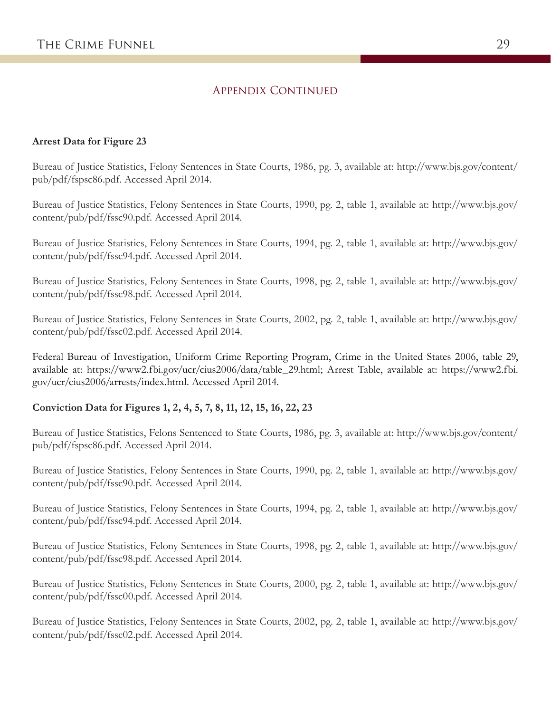### APPENDIX CONTINUED

### **Arrest Data for Figure 23**

Bureau of Justice Statistics, Felony Sentences in State Courts, 1986, pg. 3, available at: http://www.bjs.gov/content/ pub/pdf/fspsc86.pdf. Accessed April 2014.

Bureau of Justice Statistics, Felony Sentences in State Courts, 1990, pg. 2, table 1, available at: http://www.bjs.gov/ content/pub/pdf/fssc90.pdf. Accessed April 2014.

Bureau of Justice Statistics, Felony Sentences in State Courts, 1994, pg. 2, table 1, available at: http://www.bjs.gov/ content/pub/pdf/fssc94.pdf. Accessed April 2014.

Bureau of Justice Statistics, Felony Sentences in State Courts, 1998, pg. 2, table 1, available at: http://www.bjs.gov/ content/pub/pdf/fssc98.pdf. Accessed April 2014.

Bureau of Justice Statistics, Felony Sentences in State Courts, 2002, pg. 2, table 1, available at: http://www.bjs.gov/ content/pub/pdf/fssc02.pdf. Accessed April 2014.

Federal Bureau of Investigation, Uniform Crime Reporting Program, Crime in the United States 2006, table 29, available at: https://www2.fbi.gov/ucr/cius2006/data/table\_29.html; Arrest Table, available at: https://www2.fbi. gov/ucr/cius2006/arrests/index.html. Accessed April 2014.

### **Conviction Data for Figures 1, 2, 4, 5, 7, 8, 11, 12, 15, 16, 22, 23**

Bureau of Justice Statistics, Felons Sentenced to State Courts, 1986, pg. 3, available at: http://www.bjs.gov/content/ pub/pdf/fspsc86.pdf. Accessed April 2014.

Bureau of Justice Statistics, Felony Sentences in State Courts, 1990, pg. 2, table 1, available at: http://www.bjs.gov/ content/pub/pdf/fssc90.pdf. Accessed April 2014.

Bureau of Justice Statistics, Felony Sentences in State Courts, 1994, pg. 2, table 1, available at: http://www.bjs.gov/ content/pub/pdf/fssc94.pdf. Accessed April 2014.

Bureau of Justice Statistics, Felony Sentences in State Courts, 1998, pg. 2, table 1, available at: http://www.bjs.gov/ content/pub/pdf/fssc98.pdf. Accessed April 2014.

Bureau of Justice Statistics, Felony Sentences in State Courts, 2000, pg. 2, table 1, available at: http://www.bjs.gov/ content/pub/pdf/fssc00.pdf. Accessed April 2014.

Bureau of Justice Statistics, Felony Sentences in State Courts, 2002, pg. 2, table 1, available at: http://www.bjs.gov/ content/pub/pdf/fssc02.pdf. Accessed April 2014.